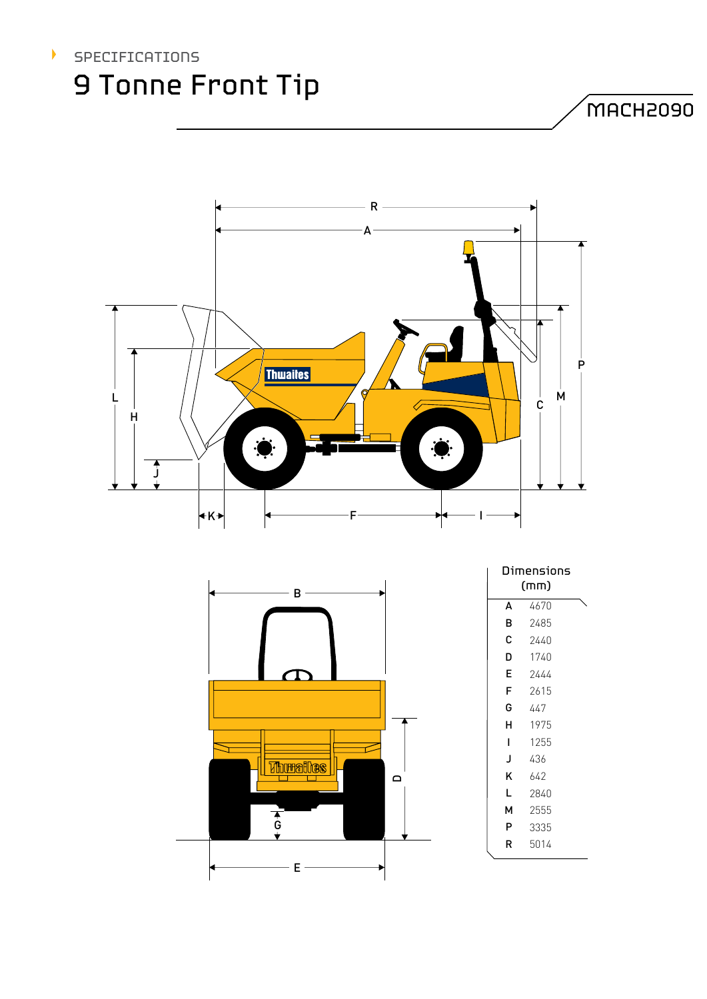

MACH2090



| B                |             |      |  |
|------------------|-------------|------|--|
|                  | A           | 4670 |  |
|                  | B           | 2485 |  |
|                  | $\mathsf C$ | 2440 |  |
|                  | D           | 1740 |  |
|                  | E           | 2444 |  |
|                  | F           | 2615 |  |
|                  | G           | 447  |  |
|                  | Н           | 1975 |  |
|                  | I           | 1255 |  |
| <b>Thuralles</b> | J           | 436  |  |
| $\Box$           | Κ           | 642  |  |
|                  | L           | 2840 |  |
|                  | М           | 2555 |  |
| $\overline{6}$   | P           | 3335 |  |
|                  | ${\sf R}$   | 5014 |  |
| E                |             |      |  |
|                  |             |      |  |